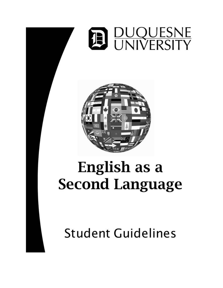



# English as a **Second Language**

**Student Guidelines**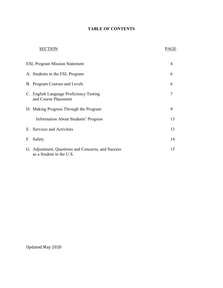# **TABLE OF CONTENTS**

# SECTION PAGE

|              | <b>ESL Program Mission Statement</b>                                           |    |  |
|--------------|--------------------------------------------------------------------------------|----|--|
|              | A. Students in the ESL Program                                                 | 6  |  |
|              | B. Program Courses and Levels                                                  | 6  |  |
|              | C. English Language Proficiency Testing<br>and Course Placement                |    |  |
|              | D. Making Progress Through the Program                                         | 9  |  |
|              | <b>Information About Students' Progress</b>                                    | 13 |  |
|              | E. Services and Activities                                                     | 13 |  |
| $F_{\rm{f}}$ | Safety                                                                         | 14 |  |
|              | G. Adjustment, Questions and Concerns, and Success<br>as a Student in the U.S. | 15 |  |

Updated May 2020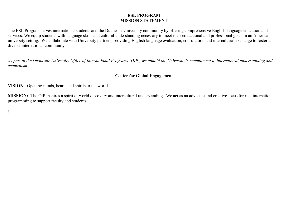#### **ESL PROGRAM MISSION STATEMENT**

The ESL Program serves international students and the Duquesne University community by offering comprehensive English language education and services. We equip students with language skills and cultural understanding necessary to meet their educational and professional goals in an American university setting. We collaborate with University partners, providing English language evaluation, consultation and intercultural exchange to foster a diverse international community.

*As part of the Duquesne University Office of International Programs (OIP), we uphold the University's commitment to intercultural understanding and ecumenism.*

#### **Center for Global Engagement**

**VISION:** Opening minds, hearts and spirits to the world.

**MISSION:** The OIP inspires a spirit of world discovery and intercultural understanding. We act as an advocate and creative focus for rich international programming to support faculty and students.

s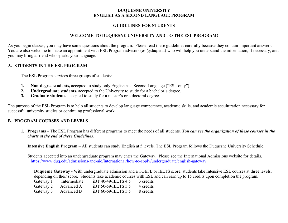#### **DUQUESNE UNIVERSITY ENGLISH AS A SECOND LANGUAGE PROGRAM**

#### **GUIDELINES FOR STUDENTS**

#### **WELCOME TO DUQUESNE UNIVERSITY AND TO THE ESL PROGRAM!**

As you begin classes, you may have some questions about the program. Please read these guidelines carefully because they contain important answers. You are also welcome to make an appointment with ESL Program advisors (esl@duq.edu) who will help you understand the information, if necessary, and you may bring a friend who speaks your language.

#### **A. STUDENTS IN THE ESL PROGRAM**

The ESL Program services three groups of students:

- **1. Non-degree students,** accepted to study only English as a Second Language ("ESL only").
- **2. Undergraduate students,** accepted to the University to study for a bachelor's degree.
- **3. Graduate students,** accepted to study for a master's or a doctoral degree.

The purpose of the ESL Program is to help all students to develop language competence, academic skills, and academic acculturation necessary for successful university studies or continuing professional work.

#### **B. PROGRAM COURSES AND LEVELS**

**1. Programs** – The ESL Program has different programs to meet the needs of all students. *You can see the organization of these courses in the charts at the end of these Guidelines.*

**Intensive English Program** – All students can study English at 5 levels. The ESL Program follows the Duquesne University Schedule.

Students accepted into an undergraduate program may enter the Gateway. Please see the International Admissions website for details. https://www.duq.edu/admissions-and-aid/international/how-to-apply/undergraduate/english-gateway

**Duquesne Gateway** - With undergraduate admission and a TOEFL or IELTS score, students take Intensive ESL courses at three levels, depending on their score. Students take academic courses with ESL and can earn up to 15 credits upon completion the program.

| Gateway 1 | Intermediate | iBT 40-49/IELTS 4.5 | 3 credits |
|-----------|--------------|---------------------|-----------|
| Gateway 2 | Advanced A   | iBT 50-59/IELTS 5.5 | 4 credits |
| Gateway 3 | Advanced B   | iBT 60-69/IELTS 5.5 | 8 credits |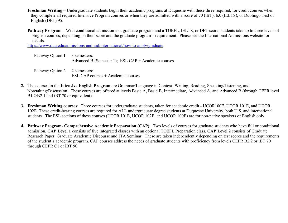- **Freshman Writing –** Undergraduate students begin their academic programs at Duquesne with these three required, for-credit courses when they complete all required Intensive Program courses or when they are admitted with a score of 70 (iBT), 6.0 (IELTS), or Duolingo Test of English (DET) 95.
- **Pathway Program –** With conditional admission to a graduate program and a TOEFL, IELTS, or DET score, students take up to three levels of English courses, depending on their score and the graduate program's requirement. Please see the International Admissions website for details.

https://www.duq.edu/admissions-and-aid/international/how-to-apply/graduate

| Pathway Option 1 3 semesters: | Advanced B (Semester 1); ESL CAP + Academic courses |
|-------------------------------|-----------------------------------------------------|
| Pathway Option 2 2 semesters: | ESL CAP courses + Academic courses                  |

- **2.** The courses in the **Intensive English Program** are Grammar/Language in Context, Writing, Reading, Speaking/Listening, and Notetaking/Discussion. These courses are offered at levels Basic A, Basic B, Intermediate, Advanced A, and Advanced B (through CEFR level B1.2/B2.1 and iBT 70 or equivalent).
- **3. Freshman Writing courses:** Three courses for undergraduate students, taken for academic credit UCOR100E, UCOR 101E, and UCOR 102E. These credit-bearing courses are required for ALL undergraduate degree students at Duquesne University, both U.S. and international students. The ESL sections of these courses (UCOR 101E, UCOR 102E, and UCOR 100E) are for non-native speakers of English only.
- **4. Pathway Program- Comprehensive Academic Preparation (CAP):** Two levels of courses for graduate students who have full or conditional admission**. CAP Level 1** consists of five integrated classes with an optional TOEFL Preparation class. **CAP Level 2** consists of Graduate Research Paper, Graduate Academic Discourse and ITA Seminar. These are taken independently depending on test scores and the requirements of the student's academic program. CAP courses address the needs of graduate students with proficiency from levels CEFR B2.2 or iBT 70 through CEFR C1 or iBT 90.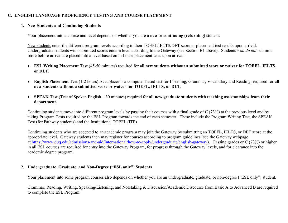#### **C. ENGLISH LANGUAGE PROFICIENCY TESTING AND COURSE PLACEMENT**

#### **1. New Students and Continuing Students**

Your placement into a course and level depends on whether you are a **new** or **continuing (returning)** student.

New students enter the different program levels according to their TOEFL/IELTS/DET score or placement test results upon arrival. Undergraduate students with submitted scores enter a level according to the Gateway (see Section B1 above). Students *who do not* submit a score before arrival are placed into a level based on in-house placement tests upon arrival:

- **ESL Writing Placement Test** (45-50 minutes) required for **all new students without a submitted score or waiver for TOEFL, IELTS, or DET**.
- **English Placement Test** (1-2 hours) Accuplacer is a computer-based test for Listening, Grammar, Vocabulary and Reading, required for **all new students without a submitted score or waiver for TOEFL, IELTS, or DET**.
- **SPEAK Test** (Test of Spoken English 30 minutes) required for **all new graduate students with teaching assistantships from their department.**

Continuing students move into different program levels by passing their courses with a final grade of C (73%) at the previous level and by taking Program Tests required by the ESL Program towards the end of each semester. These include the Program Writing Test, the SPEAK Test (for Pathway students) and the Institutional TOEFL (ITP).

Continuing students who are accepted to an academic program may join the Gateway by submitting an TOEFL, IELTS, or DET score at the appropriate level. Gateway students then may register for courses according to program guidelines (see the Gateway webpage at https://www.duq.edu/admissions-and-aid/international/how-to-apply/undergraduate/english-gateway). Passing grades or C (73%) or higher in all ESL courses are required for entry into the Gateway Program, for progress through the Gateway levels, and for clearance into the academic degree program.

#### **2. Undergraduate, Graduate, and Non-Degree ("ESL only") Students**

Your placement into some program courses also depends on whether you are an undergraduate, graduate, or non-degree ("ESL only") student.

Grammar, Reading, Writing, Speaking/Listening, and Notetaking & Discussion/Academic Discourse from Basic A to Advanced B are required to complete the ESL Program.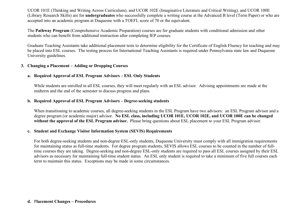UCOR 101E (Thinking and Writing Across Curriculum), and UCOR 102E (Imaginative Literature and Critical Writing), and UCOR 100E (Library Research Skills) are for **undergraduates** who successfully complete a writing course at the Advanced B level (Term Paper) or who are accepted into an academic program at Duquesne with a TOEFL score of 70 or the equivalent.

The **Pathway Program** (Comprehensive Academic Preparation) courses are for graduate students with conditional admission and other students who can benefit from additional instruction after completing IEP courses.

Graduate Teaching Assistants take additional placement tests to determine eligibility for the Certificate of English Fluency for teaching and may be placed into ESL courses. The testing process for International Teaching Assistants is required under Pennsylvania state law and Duquesne University guidelines.

#### **3. Changing a Placement – Adding or Dropping Courses**

#### **a. Required Approval of ESL Program Advisors – ESL Only Students**

While students are enrolled in all ESL courses, they will meet regularly with an ESL advisor. Advising appointments are made at the midterm and the end of the semester to discuss progress and plans.

#### **b. Required Approval of ESL Program Advisors – Degree-seeking students**

When transitioning to academic courses, all degree-seeking students in the ESL Program have two advisors: an ESL Program advisor and a degree program (or academic major) advisor. **No ESL class, including UCOR 101E, UCOR 102E, and UCOR 100E can be changed without the approval of the ESL Program advisor.** Please bring questions about ESL placement to your ESL Program advisor.

#### **c. Student and Exchange Visitor Information System (SEVIS) Requirements**

For both degree-seeking students and non-degree ESL-only students, Duquesne University must comply with all immigration requirements for maintaining status as full-time students. For degree program students, SEVIS allows ESL courses to be counted in the number of fulltime courses they are taking. Degree-seeking and non-degree ESL-only students are required to pass all ESL courses assigned by their ESL advisors as necessary for maintaining full-time student status. An ESL only student is required to take a minimum of five full courses each term to maintain this status. Exceptions may be made in some circumstances.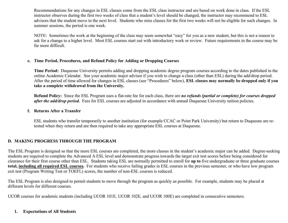Recommendations for any changes in ESL classes come from the ESL class instructor and are based on work done in class. If the ESL instructor observes during the first two weeks of class that a student's level should be changed, the instructor may recommend to ESL advisors that the student move to the next level. Students who miss classes for the first two weeks will not be eligible for such changes. In summer sessions, the period is one week.

NOTE: Sometimes the work at the beginning of the class may seem somewhat "easy" for you as a new student, but this is not a reason to ask for a change to a higher level. Most ESL courses start out with introductory work or review. Future requirements in the course may be far more difficult.

#### **e. Time Period, Procedures, and Refund Policy for Adding or Dropping Courses**

**Time Period:** Duquesne University permits adding and dropping academic degree program courses according to the dates published in the online Academic Calendar. See your academic major advisor if you wish to change a class (other than ESL) during the add/drop period. After the period of time allowed for changes in ESL classes (see "Procedures" below), **ESL classes may normally be dropped only if you take a complete withdrawal from the University.**

**Refund Policy:** Since the ESL Program uses a flat-rate fee for each class, there are *no refunds (partial or complete) for courses dropped after the add/drop period.* Fees for ESL courses are adjusted in accordance with annual Duquesne University tuition policies.

#### **f. Returns After a Transfer**

ESL students who transfer temporarily to another institution (for example CCAC or Point Park University) but return to Duquesne are retested when they return and are then required to take any appropriate ESL courses at Duquesne.

#### **D. MAKING PROGRESS THROUGH THE PROGRAM**

The ESL Program is designed so that the more ESL courses are completed, the more classes in the student's academic major can be added. Degree-seeking students are required to complete the Advanced A ESL level and demonstrate progress towards the target exit test scores before being considered for clearance for their first course other than ESL. Students taking ESL are normally permitted to enroll for **up to** five undergraduate or three graduate courses **total, including all required ESL courses.** For students who receive failing grades in ESL courses in the previous semester, or who have low program exit test (Program Writing Test or TOEFL) scores, the number of non-ESL courses is reduced.

The ESL Program is also designed to permit students to move through the program as quickly as possible. For example, students may be placed at different levels for different courses.

UCOR courses for academic students (including UCOR 101E, UCOR 102E, and UCOR 100E) are completed in consecutive semesters.

#### **1. Expectations of All Students**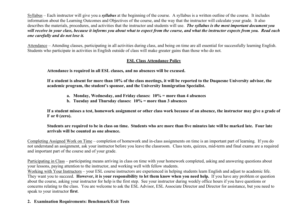Syllabus – Each instructor will give you a *syllabus* at the beginning of the course. A syllabus is a written outline of the course. It includes information about the Learning Outcomes and Objectives of the course, and the way that the instructor will calculate your grade. It also describes the materials, procedures, and activities that the instructor and students will use. *The syllabus is the most important document you will receive in your class, because it informs you about what to expect from the course, and what the instructor expects from you. Read each one carefully and do not lose it.*

Attendance – Attending classes, participating in all activities during class, and being on time are all essential for successfully learning English. Students who participate in activities in English outside of class will make greater gains than those who do not.

#### **ESL Class Attendance Policy**

**Attendance is required in all ESL classes, and no absences will be excused.**

**If a student is absent for more than 10% of the class meetings, it will be reported to the Duquesne University advisor, the academic program, the student's sponsor, and the University Immigration Specialist.**

- **a. Monday, Wednesday, and Friday classes: 10% = more than 4 absences**
- **b. Tuesday and Thursday classes: 10% = more than 3 absences**

**If a student misses a test, homework assignment or other class work because of an absence, the instructor may give a grade of F or 0 (zero).**

**Students are required to be in class on time. Students who are more than five minutes late will be marked late. Four late arrivals will be counted as one absence.**

Completing Assigned Work on Time – completion of homework and in-class assignments on time is an important part of learning. If you do not understand an assignment, ask your instructor before you leave the classroom. Class tests, quizzes, mid-term and final exams are a required and important part of the course and of your grade.

Participating in Class – participating means arriving in class on time with your homework completed, asking and answering questions about your lessons, paying attention to the instructor, and working well with fellow students.

Working with Your Instructors – your ESL course instructors are experienced in helping students learn English and adjust to academic life. They want you to succeed. **However, it is your responsibility to let them know when you need help.** If you have any problem or question about the course, asking your instructor for help is the first step. See your instructor during weekly office hours if you have questions or concerns relating to the class. You are welcome to ask the ESL Advisor, ESL Associate Director and Director for assistance, but you need to speak to your instructor **first**.

# **2. Examination Requirements: Benchmark/Exit Tests**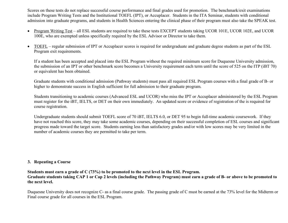Scores on these tests do not replace successful course performance and final grades used for promotion. The benchmark/exit examinations include Program Writing Tests and the Institutional TOEFL (IPT), or Accuplacer. Students in the ITA Seminar, students with conditional admission into graduate programs, and students in Health Sciences entering the clinical phase of their program must also take the SPEAK test.

- Program Writing Test all ESL students are required to take these tests EXCEPT students taking UCOR 101E, UCOR 102E, and UCOR 100E, who are exempted unless specifically required by the ESL Advisor or Director to take them.
- TOEFL regular submission of IPT or Accuplacer scores is required for undergraduate and graduate degree students as part of the ESL Program exit requirements.

If a student has been accepted and placed into the ESL Program without the required minimum score for Duquesne University admission, the submission of an IPT or other benchmark score becomes a University requirement each term until the score of 525 on the ITP (iBT 70) or equivalent has been obtained.

Graduate students with conditional admission (Pathway students) must pass all required ESL Program courses with a final grade of B- or higher to demonstrate success in English sufficient for full admission to their graduate program.

Students transitioning to academic courses (Advanced ESL and UCOR) who miss the IPT or Accuplacer administered by the ESL Program must register for the iBT, IELTS, or DET on their own immediately. An updated score or evidence of registration of the is required for course registration.

Undergraduate students should submit TOEFL score of 70 iBT, IELTS 6.0, or DET 95 to begin full-time academic coursework. If they have not reached this score, they may take some academic courses, depending on their successful completion of ESL courses and significant progress made toward the target score. Students earning less than satisfactory grades and/or with low scores may be very limited in the number of academic courses they are permitted to take per term.

#### **3. Repeating a Course**

**Students must earn a grade of C (73%) to be promoted to the next level in the ESL Program. Graduate students taking CAP 1 or Cap 2 levels (including the Pathway Program) must earn a grade of B- or above to be promoted to the next level.**

Duquesne University does not recognize C- as a final course grade. The passing grade of C must be earned at the 73% level for the Midterm or Final course grade for all courses in the ESL Program.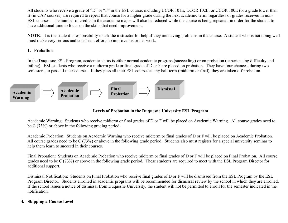All students who receive a grade of "D" or "F" in the ESL course, including UCOR 101E, UCOR 102E, or UCOR 100E (or a grade lower than B- in CAP courses) are required to repeat that course for a higher grade during the next academic term, regardless of grades received in non-ESL courses. The number of credits in the academic major will also be reduced while the course is being repeated, in order for the student to have additional time to focus on the skills that need improvement.

**NOTE**: It is the student's responsibility to ask the instructor for help if they are having problems in the course. A student who is not doing well must make very serious and consistent efforts to improve his or her work.

#### **1. Probation**

In the Duquesne ESL Program, academic status is either normal academic progress (succeeding) or on probation (experiencing difficulty and failing). ESL students who receive a midterm grade or final grade of D or F are placed on probation. They have four chances, during two semesters, to pass all their courses. If they pass all their ESL courses at any half term (midterm or final), they are taken off probation.



#### **Levels of Probation in the Duquesne University ESL Program**

Academic Warning: Students who receive midterm or final grades of D or F will be placed on Academic Warning. All course grades need to be C (73%) or above in the following grading period.

Academic Probation: Students on Academic Warning who receive midterm or final grades of D or F will be placed on Academic Probation. All course grades need to be C (73%) or above in the following grade period. Students also must register for a special university seminar to help them learn to succeed in their courses.

Final Probation: Students on Academic Probation who receive midterm or final grades of D or F will be placed on Final Probation. All course grades need to be C (73%) or above in the following grade period. These students are required to meet with the ESL Program Director for additional support.

Dismissal Notification: Students on Final Probation who receive final grades of D or F will be dismissed from the ESL Program by the ESL Program Director. Students enrolled in academic programs will be recommended for dismissal review by the school in which they are enrolled. If the school issues a notice of dismissal from Duquesne University, the student will not be permitted to enroll for the semester indicated in the notification.

#### **4. Skipping a Course Level**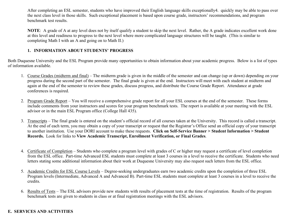After completing an ESL semester, students who have improved their English language skills exceptionally4. quickly may be able to pass over the next class level in those skills. Such exceptional placement is based upon course grade, instructors' recommendations, and program benchmark test results.

**NOTE**: A grade of A at any level does not by itself qualify a student to skip the next level. Rather, the A grade indicates excellent work done at this level and readiness to progress to the next level where more complicated language structures will be taught. (This is similar to completing Math I with an A and going on to Math II.)

### **1. INFORMATION ABOUT STUDENTS' PROGRESS**

Both Duquesne University and the ESL Program provide many opportunities to obtain information about your academic progress. Below is a list of types of information available.

- 1. Course Grades (midterm and final) The midterm grade is given in the middle of the semester and can change (up or down) depending on your progress during the second part of the semester. The final grade is given at the end. Instructors will meet with each student at midterm and again at the end of the semester to review these grades, discuss progress, and distribute the Course Grade Report. Attendance at grade conferences is required.
- 2. Program Grade Report You will receive a comprehensive grade report for all your ESL courses at the end of the semester. These forms include comments from your instructors and scores for your program benchmark tests. The report is available at your meeting with the ESL advisor or in the main ESL Program office (College Hall 435).
- 3. Transcripts The final grade is entered on the student's official record of all courses taken at the University. This record is called a transcript. At the end of each term, you may obtain a copy of your transcript or request that the Registrar's Office send an official copy of your transcript to another institution. Use your DORI account to make these requests. **Click on Self-Service Banner > Student Information > Student Records.** Look for links to **View Academic Transcript, Enrollment Verification, or Final Grades**.
- 4. Certificate of Completion Students who complete a program level with grades of C or higher may request a certificate of level completion from the ESL office. Part-time Advanced ESL students must complete at least 3 courses in a level to receive the certificate. Students who need letters stating some additional information about their work at Duquesne University may also request such letters from the ESL office.
- 5. Academic Credits for ESL Course Levels Degree-seeking undergraduates earn two academic credits upon the completion of three ESL Program levels (Intermediate, Advanced A and Advanced B). Part-time ESL students must complete at least 3 courses in a level to receive the credits.
- 6. Results of Tests The ESL advisors provide new students with results of placement tests at the time of registration. Results of the program benchmark tests are given to students in class or at final registration meetings with the ESL advisors.

# **E. SERVICES AND ACTIVITIES**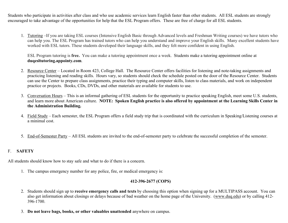Students who participate in activities after class and who use academic services learn English faster than other students. All ESL students are strongly encouraged to take advantage of the opportunities for help that the ESL Program offers. These are free of charge for all ESL students.

1. Tutoring –If you are taking ESL courses (Intensive English Basic through Advanced levels and Freshman Writing courses) we have tutors who can help you. The ESL Program has trained tutors who can help you understand and improve your English skills. Many excellent students have worked with ESL tutors. These students developed their language skills, and they felt more confident in using English.

ESL Program tutoring is **free.** You can make a tutoring appointment once a week. Students make a tutoring appointment online at **duqesltutoring.appointy.com**.

- 2. Resource Center Located in Room 423, College Hall. The Resource Center offers facilities for listening and note-taking assignments and practicing listening and reading skills. Hours vary, so students should check the schedule posted on the door of the Resource Center. Students can use the Center to prepare class assignments, practice their typing and computer skills, listen to class materials, and work on independent practice or projects. Books, CDs, DVDs, and other materials are available for students to use.
- 3. Conversation Hours This is an informal gathering of ESL students for the opportunity to practice speaking English, meet some U.S. students, and learn more about American culture. **NOTE: Spoken English practice is also offered by appointment at the Learning Skills Center in the Administration Building.**
- 4. Field Study Each semester, the ESL Program offers a field study trip that is coordinated with the curriculum in Speaking/Listening courses at a minimal cost.
- 5. End-of-Semester Party All ESL students are invited to the end-of-semester party to celebrate the successful completion of the semester.

#### F. **SAFETY**

All students should know how to stay safe and what to do if there is a concern.

1. The campus emergency number for any police, fire, or medical emergency is:

# **412-396-2677 (COPS)**

- 2. Students should sign up to **receive emergency calls and texts** by choosing this option when signing up for a MULTIPASS account. You can also get information about closings or delays because of bad weather on the home page of the University. (www.duq.edu) or by calling 412- 396-1700.
- 3. **Do not leave bags, books, or other valuables unattended** anywhere on campus.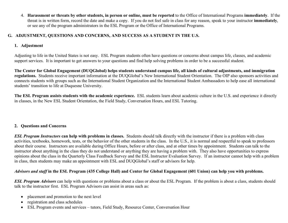4. **Harassment or threats by other students, in person or online, must be reported** to the Office of International Programs **immediately**. If the threat is in written form, record the date and make a copy. If you do not feel safe in class for any reason, speak to your instructor **immediately**, or see any of the program administrators in the ESL Program or the Office of International Programs.

### **G. ADJUSTMENT, QUESTIONS AND CONCERNS, AND SUCCESS AS A STUDENT IN THE U.S.**

#### **1. Adjustment**

Adjusting to life in the United States is not easy. ESL Program students often have questions or concerns about campus life, classes, and academic support services. It is important to get answers to your questions and find help solving problems in order to be a successful student.

**The Center for Global Engagement (DUQGlobal) helps students understand campus life, all kinds of cultural adjustments, and immigration regulations.** Students receive important information at the DUQGlobal's New International Student Orientation. The OIP also sponsors activities and connects students with groups such as the International Student Organization and the International Student Ambassadors to help ease all international students' transition to life at Duquesne University.

**The ESL Program assists students with the academic experience.** ESL students learn about academic culture in the U.S. and experience it directly in classes, in the New ESL Student Orientation, the Field Study, Conversation Hours, and ESL Tutoring.

# **2. Questions and Concerns**

*ESL Program Instructors* **can help with problems in classes.** Students should talk directly with the instructor if there is a problem with class activities, textbooks, homework, tests, or the behavior of the other students in the class. In the U.S., it is normal and respectful to speak to professors about their course. Instructors are available during Office Hours, before or after class, and at other times by appointment. Students can talk to the instructor about anything in the class they do not understand or anything they are having a problem with. They also have opportunities to express opinions about the class in the Quarterly Class Feedback Survey and the ESL Instructor Evaluation Survey. If an instructor cannot help with a problem in class, then students may make an appointment with ESL and DUQGlobal's staff or advisors for help.

# *Advisors and staff* **in the ESL Program (435 College Hall) and Center for Global Engagement (601 Union) can help you with problems.**

*ESL Program Advisors* can help with questions or problems about a class or about the ESL Program. If the problem is about a class, students should talk to the instructor first. ESL Program Advisors can assist in areas such as:

- placement and promotion to the next level
- registration and class schedules
- ESL Program events and services tutors, Field Study, Resource Center, Conversation Hour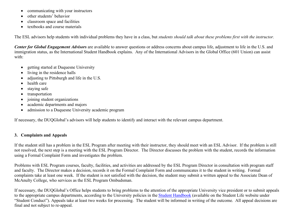- communicating with your instructors
- other students' behavior
- classroom space and facilities
- textbooks and course materials

The ESL advisors help students with individual problems they have in a class, but *students should talk about these problems first with the instructor.*

*Center for Global Engagement Advisors* are available to answer questions or address concerns about campus life, adjustment to life in the U.S. and immigration status, as the International Student Handbook explains. Any of the International Advisors in the Global Office (601 Union) can assist with:

- getting started at Duquesne University
- living in the residence halls
- adjusting to Pittsburgh and life in the U.S.
- health care
- staying safe
- transportation
- joining student organizations
- academic departments and majors
- admission to a Duquesne University academic program

If necessary, the DUQGlobal's advisors will help students to identify and interact with the relevant campus department.

# **3. Complaints and Appeals**

If the student still has a problem in the ESL Program after meeting with their instructor, they should meet with an ESL Advisor. If the problem is still not resolved, the next step is a meeting with the ESL Program Director. The Director discusses the problem with the student, records the information using a Formal Complaint Form and investigates the problem.

Problems with ESL Program courses, faculty, facilities, and activities are addressed by the ESL Program Director in consultation with program staff and faculty. The Director makes a decision, records it on the Formal Complaint Form and communicates it to the student in writing. Formal complaints take at least one week. If the student is not satisfied with the decision, the student may submit a written appeal to the Associate Dean of McAnulty College, who services as the ESL Program Ombudsman.

If necessary, the DUQGlobal's Office helps students to bring problems to the attention of the appropriate University vice president or to submit appeals to the appropriate campus departments, according to the University policies in the Student Handbook (available on the Student Life website under "Student Conduct"). Appeals take at least two weeks for processing. The student will be informed in writing of the outcome. All appeal decisions are final and not subject to re-appeal.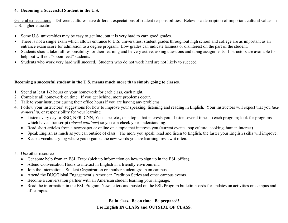#### **4. Becoming a Successful Student in the U.S.**

General expectations – Different cultures have different expectations of student responsibilities. Below is a description of important cultural values in U.S. higher education:

- Some U.S. universities may be easy to get into; but it is very hard to earn good grades.
- There is not a single exam which allows entrance to U.S. universities; student grades throughout high school and college are as important as an entrance exam score for admission to a degree program. Low grades can indicate laziness or disinterest on the part of the student.
- Students should take full responsibility for their learning and be very active, asking questions and doing assignments. Instructors are available for help but will not "spoon feed" students.
- Students who work very hard will succeed. Students who do not work hard are not likely to succeed.

#### **Becoming a successful student in the U.S. means much more than simply going to classes.**

- 1. Spend at least 1-2 hours on your homework for each class, each night.
- 2. Complete all homework on time. If you get behind, more problems occur.
- 3. Talk to your instructor during their office hours if you are having any problems.
- 4. Follow your instructors' suggestions for how to improve your speaking, listening and reading in English. Your instructors will expect that you *take ownership*, or responsibility for your learning.
	- Listen every day to BBC, NPR, CNN, YouTube, etc., on a topic that interests you. Listen several times to each program; look for programs which have a transcript (*closed captions*) so you can check your understanding.
	- Read short articles from a newspaper or online on a topic that interests you (current events, pop culture, cooking, human interest).
	- Speak English as much as you can outside of class. The more you speak, read and listen to English, the faster your English skills will improve.
	- Keep a vocabulary log where you organize the new words you are learning; review it often.
- 5. Use other resources:
	- Get some help from an ESL Tutor (pick up information on how to sign up in the ESL office).
	- Attend Conversation Hours to interact in English in a friendly environment.
	- Join the International Student Organization or another student group on campus.
	- Attend the DUQGlobal Engagement's American Tradition Series and other campus events.
	- Become a conversation partner with an American student learning your language.
	- Read the information in the ESL Program Newsletters and posted on the ESL Program bulletin boards for updates on activities on campus and off campus.

# **Be in class. Be on time. Be prepared! Use English IN CLASS and OUTSIDE OF CLASS.**